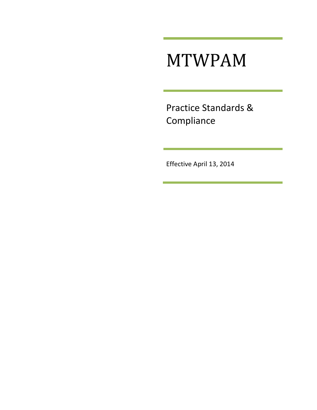# MTWPAM

Practice Standards & Compliance

Effective April 13, 2014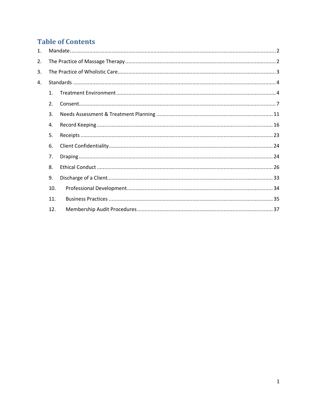# **Table of Contents**

| $\mathbf{1}$ . |                |  |  |
|----------------|----------------|--|--|
| 2.             |                |  |  |
| 3.             |                |  |  |
| 4.             |                |  |  |
|                | $\mathbf{1}$ . |  |  |
|                | 2.             |  |  |
|                | 3.             |  |  |
|                | 4.             |  |  |
|                | 5.             |  |  |
|                | 6.             |  |  |
|                | 7.             |  |  |
|                | 8.             |  |  |
|                | 9.             |  |  |
|                | 10.            |  |  |
|                | 11.            |  |  |
|                | 12.            |  |  |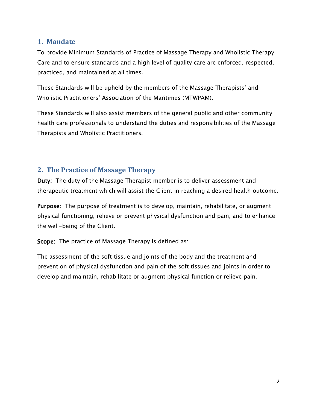#### <span id="page-2-0"></span>**1. Mandate**

To provide Minimum Standards of Practice of Massage Therapy and Wholistic Therapy Care and to ensure standards and a high level of quality care are enforced, respected, practiced, and maintained at all times.

These Standards will be upheld by the members of the Massage Therapists' and Wholistic Practitioners' Association of the Maritimes (MTWPAM).

These Standards will also assist members of the general public and other community health care professionals to understand the duties and responsibilities of the Massage Therapists and Wholistic Practitioners.

#### <span id="page-2-1"></span>**2. The Practice of Massage Therapy**

Duty: The duty of the Massage Therapist member is to deliver assessment and therapeutic treatment which will assist the Client in reaching a desired health outcome.

Purpose: The purpose of treatment is to develop, maintain, rehabilitate, or augment physical functioning, relieve or prevent physical dysfunction and pain, and to enhance the well-being of the Client.

Scope: The practice of Massage Therapy is defined as:

The assessment of the soft tissue and joints of the body and the treatment and prevention of physical dysfunction and pain of the soft tissues and joints in order to develop and maintain, rehabilitate or augment physical function or relieve pain.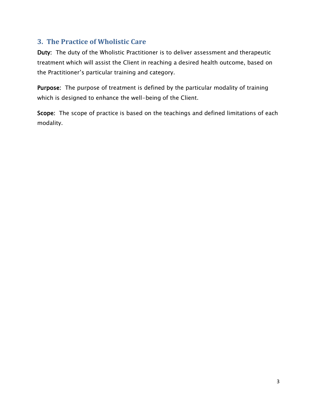#### <span id="page-3-0"></span>**3. The Practice of Wholistic Care**

Duty: The duty of the Wholistic Practitioner is to deliver assessment and therapeutic treatment which will assist the Client in reaching a desired health outcome, based on the Practitioner's particular training and category.

Purpose: The purpose of treatment is defined by the particular modality of training which is designed to enhance the well-being of the Client.

Scope: The scope of practice is based on the teachings and defined limitations of each modality.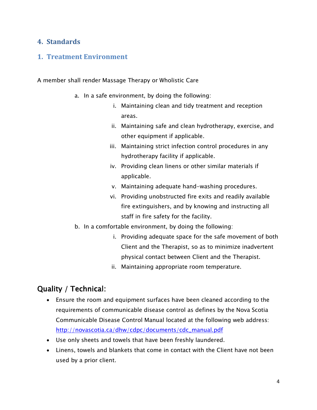#### <span id="page-4-0"></span>**4. Standards**

#### <span id="page-4-1"></span>**1. Treatment Environment**

A member shall render Massage Therapy or Wholistic Care

- a. In a safe environment, by doing the following:
	- i. Maintaining clean and tidy treatment and reception areas.
	- ii. Maintaining safe and clean hydrotherapy, exercise, and other equipment if applicable.
	- iii. Maintaining strict infection control procedures in any hydrotherapy facility if applicable.
	- iv. Providing clean linens or other similar materials if applicable.
	- v. Maintaining adequate hand-washing procedures.
	- vi. Providing unobstructed fire exits and readily available fire extinguishers, and by knowing and instructing all staff in fire safety for the facility.
- b. In a comfortable environment, by doing the following:
	- i. Providing adequate space for the safe movement of both Client and the Therapist, so as to minimize inadvertent physical contact between Client and the Therapist.
	- ii. Maintaining appropriate room temperature.

#### Quality / Technical:

- Ensure the room and equipment surfaces have been cleaned according to the requirements of communicable disease control as defines by the Nova Scotia Communicable Disease Control Manual located at the following web address: [http://novascotia.ca/dhw/cdpc/documents/cdc\\_manual.pdf](http://novascotia.ca/dhw/cdpc/documents/cdc_manual.pdf)
- Use only sheets and towels that have been freshly laundered.
- Linens, towels and blankets that come in contact with the Client have not been used by a prior client.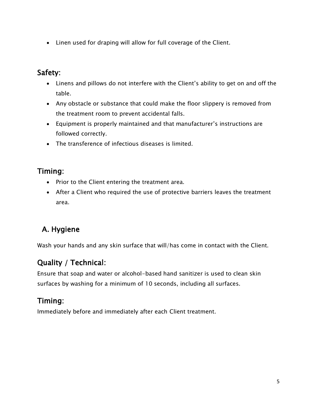Linen used for draping will allow for full coverage of the Client.

#### Safety:

- Linens and pillows do not interfere with the Client's ability to get on and off the table.
- Any obstacle or substance that could make the floor slippery is removed from the treatment room to prevent accidental falls.
- Equipment is properly maintained and that manufacturer's instructions are followed correctly.
- The transference of infectious diseases is limited.

#### Timing:

- Prior to the Client entering the treatment area.
- After a Client who required the use of protective barriers leaves the treatment area.

# A. Hygiene

Wash your hands and any skin surface that will/has come in contact with the Client.

## Quality / Technical:

Ensure that soap and water or alcohol-based hand sanitizer is used to clean skin surfaces by washing for a minimum of 10 seconds, including all surfaces.

## Timing:

Immediately before and immediately after each Client treatment.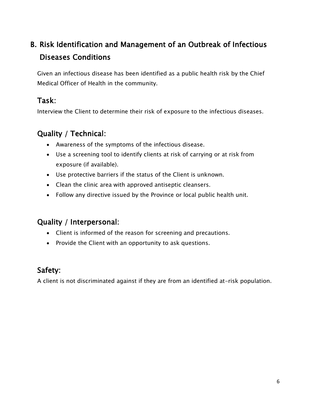# B. Risk Identification and Management of an Outbreak of Infectious Diseases Conditions

Given an infectious disease has been identified as a public health risk by the Chief Medical Officer of Health in the community.

#### Task:

Interview the Client to determine their risk of exposure to the infectious diseases.

#### Quality / Technical:

- Awareness of the symptoms of the infectious disease.
- Use a screening tool to identify clients at risk of carrying or at risk from exposure (if available).
- Use protective barriers if the status of the Client is unknown.
- Clean the clinic area with approved antiseptic cleansers.
- Follow any directive issued by the Province or local public health unit.

#### Quality / Interpersonal:

- Client is informed of the reason for screening and precautions.
- Provide the Client with an opportunity to ask questions.

## Safety:

A client is not discriminated against if they are from an identified at-risk population.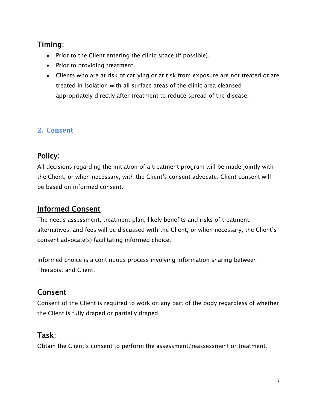## Timing:

- Prior to the Client entering the clinic space (if possible).
- Prior to providing treatment.
- Clients who are at risk of carrying or at risk from exposure are not treated or are treated in isolation with all surface areas of the clinic area cleansed appropriately directly after treatment to reduce spread of the disease.

#### <span id="page-7-0"></span>**2. Consent**

#### Policy:

All decisions regarding the initiation of a treatment program will be made jointly with the Client, or when necessary, with the Client's consent advocate. Client consent will be based on informed consent.

# Informed Consent

The needs assessment, treatment plan, likely benefits and risks of treatment, alternatives, and fees will be discussed with the Client, or when necessary, the Client's consent advocate(s) facilitating informed choice.

Informed choice is a continuous process involving information sharing between Therapist and Client.

# Consent

Consent of the Client is required to work on any part of the body regardless of whether the Client is fully draped or partially draped.

#### Task:

Obtain the Client's consent to perform the assessment/reassessment or treatment.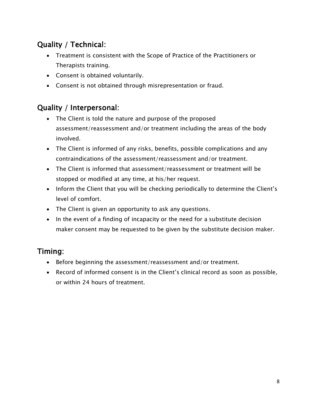# Quality / Technical:

- Treatment is consistent with the Scope of Practice of the Practitioners or Therapists training.
- Consent is obtained voluntarily.
- Consent is not obtained through misrepresentation or fraud.

## Quality / Interpersonal:

- The Client is told the nature and purpose of the proposed assessment/reassessment and/or treatment including the areas of the body involved.
- The Client is informed of any risks, benefits, possible complications and any contraindications of the assessment/reassessment and/or treatment.
- The Client is informed that assessment/reassessment or treatment will be stopped or modified at any time, at his/her request.
- Inform the Client that you will be checking periodically to determine the Client's level of comfort.
- The Client is given an opportunity to ask any questions.
- In the event of a finding of incapacity or the need for a substitute decision maker consent may be requested to be given by the substitute decision maker.

# Timing:

- Before beginning the assessment/reassessment and/or treatment.
- Record of informed consent is in the Client's clinical record as soon as possible, or within 24 hours of treatment.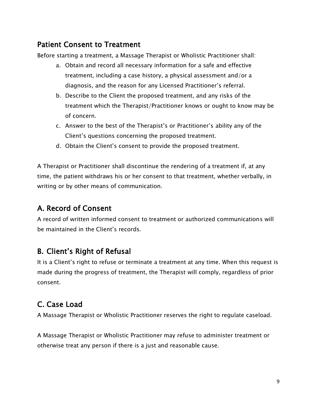#### Patient Consent to Treatment

Before starting a treatment, a Massage Therapist or Wholistic Practitioner shall:

- a. Obtain and record all necessary information for a safe and effective treatment, including a case history, a physical assessment and/or a diagnosis, and the reason for any Licensed Practitioner's referral.
- b. Describe to the Client the proposed treatment, and any risks of the treatment which the Therapist/Practitioner knows or ought to know may be of concern.
- c. Answer to the best of the Therapist's or Practitioner's ability any of the Client's questions concerning the proposed treatment.
- d. Obtain the Client's consent to provide the proposed treatment.

A Therapist or Practitioner shall discontinue the rendering of a treatment if, at any time, the patient withdraws his or her consent to that treatment, whether verbally, in writing or by other means of communication.

# A. Record of Consent

A record of written informed consent to treatment or authorized communications will be maintained in the Client's records.

## B. Client's Right of Refusal

It is a Client's right to refuse or terminate a treatment at any time. When this request is made during the progress of treatment, the Therapist will comply, regardless of prior consent.

## C. Case Load

A Massage Therapist or Wholistic Practitioner reserves the right to regulate caseload.

A Massage Therapist or Wholistic Practitioner may refuse to administer treatment or otherwise treat any person if there is a just and reasonable cause.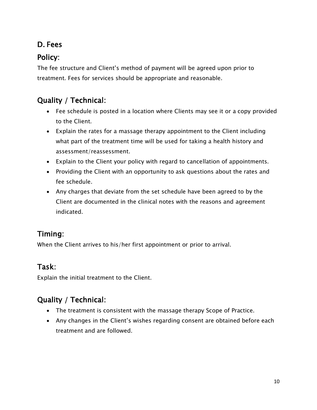# D. Fees

# Policy:

The fee structure and Client's method of payment will be agreed upon prior to treatment. Fees for services should be appropriate and reasonable.

## Quality / Technical:

- Fee schedule is posted in a location where Clients may see it or a copy provided to the Client.
- Explain the rates for a massage therapy appointment to the Client including what part of the treatment time will be used for taking a health history and assessment/reassessment.
- Explain to the Client your policy with regard to cancellation of appointments.
- Providing the Client with an opportunity to ask questions about the rates and fee schedule.
- Any charges that deviate from the set schedule have been agreed to by the Client are documented in the clinical notes with the reasons and agreement indicated.

## Timing:

When the Client arrives to his/her first appointment or prior to arrival.

## Task:

Explain the initial treatment to the Client.

# Quality / Technical:

- The treatment is consistent with the massage therapy Scope of Practice.
- Any changes in the Client's wishes regarding consent are obtained before each treatment and are followed.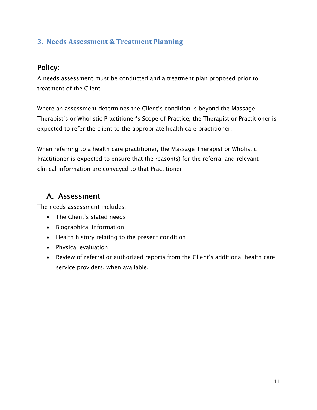#### <span id="page-11-0"></span>**3. Needs Assessment & Treatment Planning**

#### Policy:

A needs assessment must be conducted and a treatment plan proposed prior to treatment of the Client.

Where an assessment determines the Client's condition is beyond the Massage Therapist's or Wholistic Practitioner's Scope of Practice, the Therapist or Practitioner is expected to refer the client to the appropriate health care practitioner.

When referring to a health care practitioner, the Massage Therapist or Wholistic Practitioner is expected to ensure that the reason(s) for the referral and relevant clinical information are conveyed to that Practitioner.

#### A. Assessment

The needs assessment includes:

- The Client's stated needs
- Biographical information
- Health history relating to the present condition
- Physical evaluation
- Review of referral or authorized reports from the Client's additional health care service providers, when available.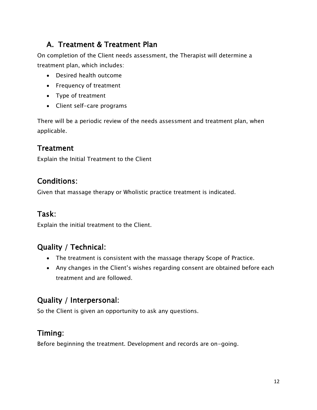# A. Treatment & Treatment Plan

On completion of the Client needs assessment, the Therapist will determine a treatment plan, which includes:

- Desired health outcome
- Frequency of treatment
- Type of treatment
- Client self-care programs

There will be a periodic review of the needs assessment and treatment plan, when applicable.

#### **Treatment**

Explain the Initial Treatment to the Client

#### Conditions:

Given that massage therapy or Wholistic practice treatment is indicated.

#### Task:

Explain the initial treatment to the Client.

## Quality / Technical:

- The treatment is consistent with the massage therapy Scope of Practice.
- Any changes in the Client's wishes regarding consent are obtained before each treatment and are followed.

## Quality / Interpersonal:

So the Client is given an opportunity to ask any questions.

#### Timing:

Before beginning the treatment. Development and records are on-going.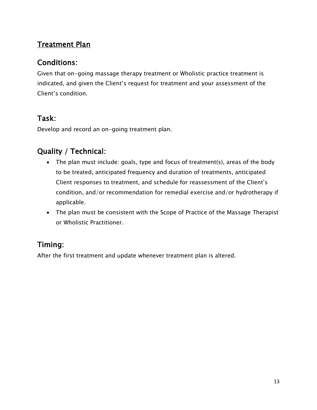# **Treatment Plan**

#### Conditions:

Given that on-going massage therapy treatment or Wholistic practice treatment is indicated, and given the Client's request for treatment and your assessment of the Client's condition.

## Task:

Develop and record an on-going treatment plan.

## Quality / Technical:

- The plan must include: goals, type and focus of treatment(s), areas of the body to be treated, anticipated frequency and duration of treatments, anticipated Client responses to treatment, and schedule for reassessment of the Client's condition, and/or recommendation for remedial exercise and/or hydrotherapy if applicable.
- The plan must be consistent with the Scope of Practice of the Massage Therapist or Wholistic Practitioner.

# Timing:

After the first treatment and update whenever treatment plan is altered.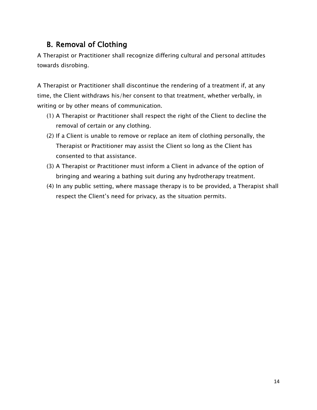# B. Removal of Clothing

A Therapist or Practitioner shall recognize differing cultural and personal attitudes towards disrobing.

A Therapist or Practitioner shall discontinue the rendering of a treatment if, at any time, the Client withdraws his/her consent to that treatment, whether verbally, in writing or by other means of communication.

- (1) A Therapist or Practitioner shall respect the right of the Client to decline the removal of certain or any clothing.
- (2) If a Client is unable to remove or replace an item of clothing personally, the Therapist or Practitioner may assist the Client so long as the Client has consented to that assistance.
- (3) A Therapist or Practitioner must inform a Client in advance of the option of bringing and wearing a bathing suit during any hydrotherapy treatment.
- (4) In any public setting, where massage therapy is to be provided, a Therapist shall respect the Client's need for privacy, as the situation permits.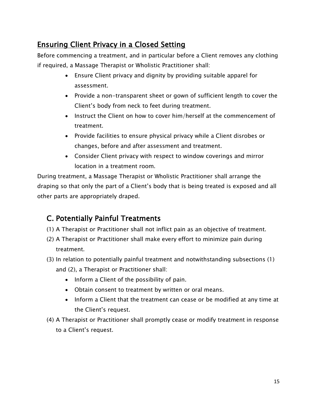## Ensuring Client Privacy in a Closed Setting

Before commencing a treatment, and in particular before a Client removes any clothing if required, a Massage Therapist or Wholistic Practitioner shall:

- Ensure Client privacy and dignity by providing suitable apparel for assessment.
- Provide a non-transparent sheet or gown of sufficient length to cover the Client's body from neck to feet during treatment.
- Instruct the Client on how to cover him/herself at the commencement of treatment.
- Provide facilities to ensure physical privacy while a Client disrobes or changes, before and after assessment and treatment.
- Consider Client privacy with respect to window coverings and mirror location in a treatment room.

During treatment, a Massage Therapist or Wholistic Practitioner shall arrange the draping so that only the part of a Client's body that is being treated is exposed and all other parts are appropriately draped.

## C. Potentially Painful Treatments

- (1) A Therapist or Practitioner shall not inflict pain as an objective of treatment.
- (2) A Therapist or Practitioner shall make every effort to minimize pain during treatment.
- (3) In relation to potentially painful treatment and notwithstanding subsections (1) and (2), a Therapist or Practitioner shall:
	- Inform a Client of the possibility of pain.
	- Obtain consent to treatment by written or oral means.
	- Inform a Client that the treatment can cease or be modified at any time at the Client's request.
- (4) A Therapist or Practitioner shall promptly cease or modify treatment in response to a Client's request.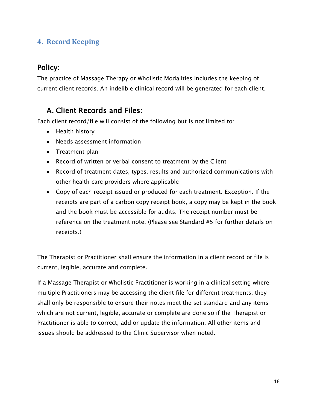#### <span id="page-16-0"></span>**4. Record Keeping**

#### Policy:

The practice of Massage Therapy or Wholistic Modalities includes the keeping of current client records. An indelible clinical record will be generated for each client.

#### A. Client Records and Files:

Each client record/file will consist of the following but is not limited to:

- Health history
- Needs assessment information
- Treatment plan
- Record of written or verbal consent to treatment by the Client
- Record of treatment dates, types, results and authorized communications with other health care providers where applicable
- Copy of each receipt issued or produced for each treatment. Exception: If the receipts are part of a carbon copy receipt book, a copy may be kept in the book and the book must be accessible for audits. The receipt number must be reference on the treatment note. (Please see Standard #5 for further details on receipts.)

The Therapist or Practitioner shall ensure the information in a client record or file is current, legible, accurate and complete.

If a Massage Therapist or Wholistic Practitioner is working in a clinical setting where multiple Practitioners may be accessing the client file for different treatments, they shall only be responsible to ensure their notes meet the set standard and any items which are not current, legible, accurate or complete are done so if the Therapist or Practitioner is able to correct, add or update the information. All other items and issues should be addressed to the Clinic Supervisor when noted.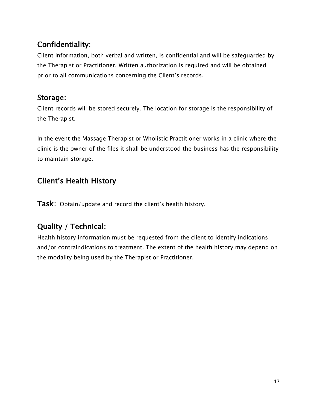# Confidentiality:

Client information, both verbal and written, is confidential and will be safeguarded by the Therapist or Practitioner. Written authorization is required and will be obtained prior to all communications concerning the Client's records.

### Storage:

Client records will be stored securely. The location for storage is the responsibility of the Therapist.

In the event the Massage Therapist or Wholistic Practitioner works in a clinic where the clinic is the owner of the files it shall be understood the business has the responsibility to maintain storage.

# Client's Health History

Task: Obtain/update and record the client's health history.

# Quality / Technical:

Health history information must be requested from the client to identify indications and/or contraindications to treatment. The extent of the health history may depend on the modality being used by the Therapist or Practitioner.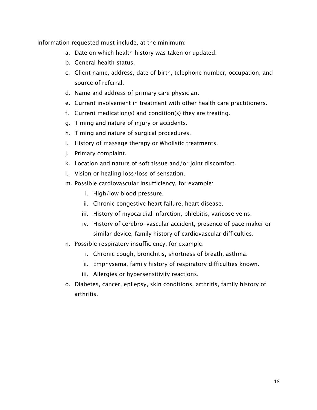Information requested must include, at the minimum:

- a. Date on which health history was taken or updated.
- b. General health status.
- c. Client name, address, date of birth, telephone number, occupation, and source of referral.
- d. Name and address of primary care physician.
- e. Current involvement in treatment with other health care practitioners.
- f. Current medication(s) and condition(s) they are treating.
- g. Timing and nature of injury or accidents.
- h. Timing and nature of surgical procedures.
- i. History of massage therapy or Wholistic treatments.
- j. Primary complaint.
- k. Location and nature of soft tissue and/or joint discomfort.
- l. Vision or healing loss/loss of sensation.
- m. Possible cardiovascular insufficiency, for example:
	- i. High/low blood pressure.
	- ii. Chronic congestive heart failure, heart disease.
	- iii. History of myocardial infarction, phlebitis, varicose veins.
	- iv. History of cerebro-vascular accident, presence of pace maker or similar device, family history of cardiovascular difficulties.
- n. Possible respiratory insufficiency, for example:
	- i. Chronic cough, bronchitis, shortness of breath, asthma.
	- ii. Emphysema, family history of respiratory difficulties known.
	- iii. Allergies or hypersensitivity reactions.
- o. Diabetes, cancer, epilepsy, skin conditions, arthritis, family history of arthritis.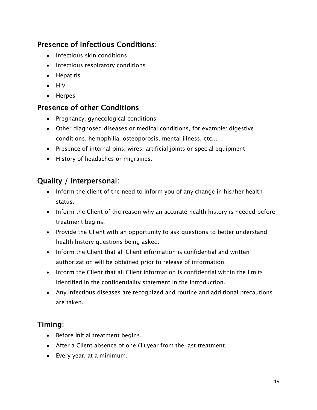## Presence of Infectious Conditions:

- Infectious skin conditions
- Infectious respiratory conditions
- Hepatitis
- HIV
- Herpes

#### Presence of other Conditions

- Pregnancy, gynecological conditions
- Other diagnosed diseases or medical conditions, for example: digestive conditions, hemophilia, osteoporosis, mental illness, etc…
- Presence of internal pins, wires, artificial joints or special equipment
- History of headaches or migraines.

#### Quality / Interpersonal:

- Inform the client of the need to inform you of any change in his/her health status.
- Inform the Client of the reason why an accurate health history is needed before treatment begins.
- Provide the Client with an opportunity to ask questions to better understand health history questions being asked.
- Inform the Client that all Client information is confidential and written authorization will be obtained prior to release of information.
- $\bullet$  Inform the Client that all Client information is confidential within the limits identified in the confidentiality statement in the Introduction.
- Any infectious diseases are recognized and routine and additional precautions are taken.

#### Timing:

- Before initial treatment begins.
- After a Client absence of one (1) year from the last treatment.
- Every year, at a minimum.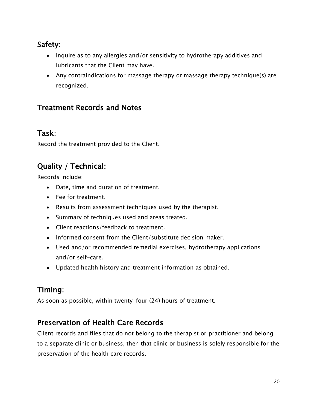## Safety:

- Inquire as to any allergies and/or sensitivity to hydrotherapy additives and lubricants that the Client may have.
- Any contraindications for massage therapy or massage therapy technique(s) are recognized.

## Treatment Records and Notes

#### Task:

Record the treatment provided to the Client.

# Quality / Technical:

Records include:

- Date, time and duration of treatment.
- Fee for treatment.
- Results from assessment techniques used by the therapist.
- Summary of techniques used and areas treated.
- Client reactions/feedback to treatment.
- Informed consent from the Client/substitute decision maker.
- Used and/or recommended remedial exercises, hydrotherapy applications and/or self-care.
- Updated health history and treatment information as obtained.

# Timing:

As soon as possible, within twenty-four (24) hours of treatment.

## Preservation of Health Care Records

Client records and files that do not belong to the therapist or practitioner and belong to a separate clinic or business, then that clinic or business is solely responsible for the preservation of the health care records.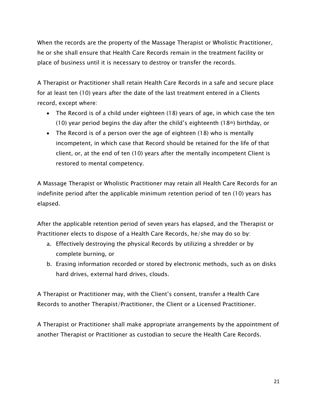When the records are the property of the Massage Therapist or Wholistic Practitioner, he or she shall ensure that Health Care Records remain in the treatment facility or place of business until it is necessary to destroy or transfer the records.

A Therapist or Practitioner shall retain Health Care Records in a safe and secure place for at least ten (10) years after the date of the last treatment entered in a Clients record, except where:

- The Record is of a child under eighteen (18) years of age, in which case the ten (10) year period begins the day after the child's eighteenth (18<sup>th</sup>) birthday, or
- The Record is of a person over the age of eighteen (18) who is mentally incompetent, in which case that Record should be retained for the life of that client, or, at the end of ten (10) years after the mentally incompetent Client is restored to mental competency.

A Massage Therapist or Wholistic Practitioner may retain all Health Care Records for an indefinite period after the applicable minimum retention period of ten (10) years has elapsed.

After the applicable retention period of seven years has elapsed, and the Therapist or Practitioner elects to dispose of a Health Care Records, he/she may do so by:

- a. Effectively destroying the physical Records by utilizing a shredder or by complete burning, or
- b. Erasing information recorded or stored by electronic methods, such as on disks hard drives, external hard drives, clouds.

A Therapist or Practitioner may, with the Client's consent, transfer a Health Care Records to another Therapist/Practitioner, the Client or a Licensed Practitioner.

A Therapist or Practitioner shall make appropriate arrangements by the appointment of another Therapist or Practitioner as custodian to secure the Health Care Records.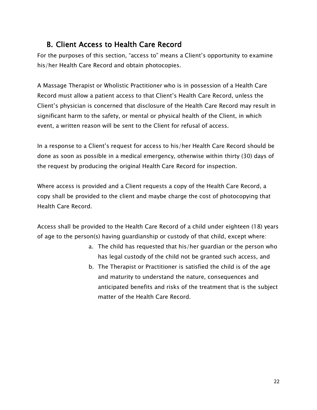## B. Client Access to Health Care Record

For the purposes of this section, "access to" means a Client's opportunity to examine his/her Health Care Record and obtain photocopies.

A Massage Therapist or Wholistic Practitioner who is in possession of a Health Care Record must allow a patient access to that Client's Health Care Record, unless the Client's physician is concerned that disclosure of the Health Care Record may result in significant harm to the safety, or mental or physical health of the Client, in which event, a written reason will be sent to the Client for refusal of access.

In a response to a Client's request for access to his/her Health Care Record should be done as soon as possible in a medical emergency, otherwise within thirty (30) days of the request by producing the original Health Care Record for inspection.

Where access is provided and a Client requests a copy of the Health Care Record, a copy shall be provided to the client and maybe charge the cost of photocopying that Health Care Record.

Access shall be provided to the Health Care Record of a child under eighteen (18) years of age to the person(s) having guardianship or custody of that child, except where:

- a. The child has requested that his/her guardian or the person who has legal custody of the child not be granted such access, and
- b. The Therapist or Practitioner is satisfied the child is of the age and maturity to understand the nature, consequences and anticipated benefits and risks of the treatment that is the subject matter of the Health Care Record.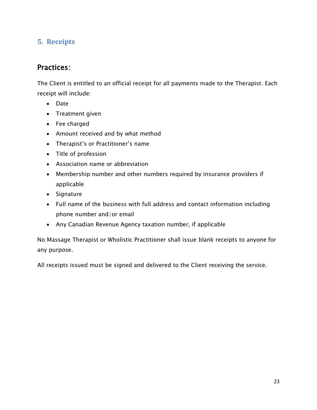#### <span id="page-23-0"></span>**5. Receipts**

#### Practices:

The Client is entitled to an official receipt for all payments made to the Therapist. Each receipt will include:

- Date
- Treatment given
- Fee charged
- Amount received and by what method
- Therapist's or Practitioner's name
- Title of profession
- Association name or abbreviation
- Membership number and other numbers required by insurance providers if applicable
- Signature
- Full name of the business with full address and contact information including phone number and/or email
- Any Canadian Revenue Agency taxation number, if applicable

No Massage Therapist or Wholistic Practitioner shall issue blank receipts to anyone for any purpose.

All receipts issued must be signed and delivered to the Client receiving the service.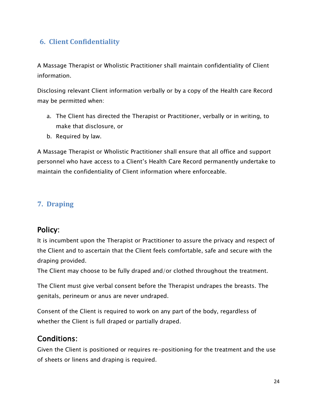#### <span id="page-24-0"></span>**6. Client Confidentiality**

A Massage Therapist or Wholistic Practitioner shall maintain confidentiality of Client information.

Disclosing relevant Client information verbally or by a copy of the Health care Record may be permitted when:

- a. The Client has directed the Therapist or Practitioner, verbally or in writing, to make that disclosure, or
- b. Required by law.

A Massage Therapist or Wholistic Practitioner shall ensure that all office and support personnel who have access to a Client's Health Care Record permanently undertake to maintain the confidentiality of Client information where enforceable.

#### <span id="page-24-1"></span>**7. Draping**

#### Policy:

It is incumbent upon the Therapist or Practitioner to assure the privacy and respect of the Client and to ascertain that the Client feels comfortable, safe and secure with the draping provided.

The Client may choose to be fully draped and/or clothed throughout the treatment.

The Client must give verbal consent before the Therapist undrapes the breasts. The genitals, perineum or anus are never undraped.

Consent of the Client is required to work on any part of the body, regardless of whether the Client is full draped or partially draped.

#### Conditions:

Given the Client is positioned or requires re-positioning for the treatment and the use of sheets or linens and draping is required.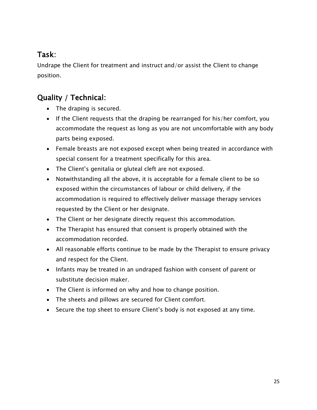## Task:

Undrape the Client for treatment and instruct and/or assist the Client to change position.

# Quality / Technical:

- The draping is secured.
- If the Client requests that the draping be rearranged for his/her comfort, you accommodate the request as long as you are not uncomfortable with any body parts being exposed.
- Female breasts are not exposed except when being treated in accordance with special consent for a treatment specifically for this area.
- The Client's genitalia or gluteal cleft are not exposed.
- Notwithstanding all the above, it is acceptable for a female client to be so exposed within the circumstances of labour or child delivery, if the accommodation is required to effectively deliver massage therapy services requested by the Client or her designate.
- The Client or her designate directly request this accommodation.
- The Therapist has ensured that consent is properly obtained with the accommodation recorded.
- All reasonable efforts continue to be made by the Therapist to ensure privacy and respect for the Client.
- Infants may be treated in an undraped fashion with consent of parent or substitute decision maker.
- The Client is informed on why and how to change position.
- The sheets and pillows are secured for Client comfort.
- Secure the top sheet to ensure Client's body is not exposed at any time.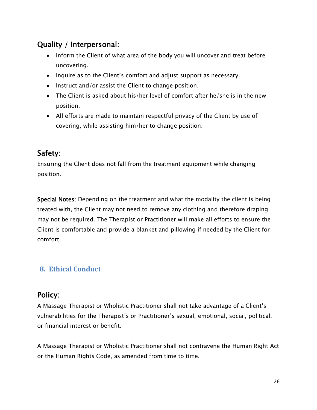## Quality / Interpersonal:

- Inform the Client of what area of the body you will uncover and treat before uncovering.
- Inquire as to the Client's comfort and adjust support as necessary.
- $\bullet$  Instruct and/or assist the Client to change position.
- The Client is asked about his/her level of comfort after he/she is in the new position.
- All efforts are made to maintain respectful privacy of the Client by use of covering, while assisting him/her to change position.

#### Safety:

Ensuring the Client does not fall from the treatment equipment while changing position.

Special Notes: Depending on the treatment and what the modality the client is being treated with, the Client may not need to remove any clothing and therefore draping may not be required. The Therapist or Practitioner will make all efforts to ensure the Client is comfortable and provide a blanket and pillowing if needed by the Client for comfort.

#### <span id="page-26-0"></span>**8. Ethical Conduct**

#### Policy:

A Massage Therapist or Wholistic Practitioner shall not take advantage of a Client's vulnerabilities for the Therapist's or Practitioner's sexual, emotional, social, political, or financial interest or benefit.

A Massage Therapist or Wholistic Practitioner shall not contravene the Human Right Act or the Human Rights Code, as amended from time to time.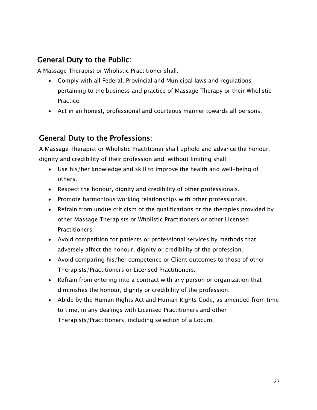#### General Duty to the Public:

A Massage Therapist or Wholistic Practitioner shall:

- Comply with all Federal, Provincial and Municipal laws and regulations pertaining to the business and practice of Massage Therapy or their Wholistic Practice.
- Act in an honest, professional and courteous manner towards all persons.

#### General Duty to the Professions:

A Massage Therapist or Wholistic Practitioner shall uphold and advance the honour, dignity and credibility of their profession and, without limiting shall:

- Use his/her knowledge and skill to improve the health and well-being of others.
- Respect the honour, dignity and credibility of other professionals.
- Promote harmonious working relationships with other professionals.
- Refrain from undue criticism of the qualifications or the therapies provided by other Massage Therapists or Wholistic Practitioners or other Licensed Practitioners.
- Avoid competition for patients or professional services by methods that adversely affect the honour, dignity or credibility of the profession.
- Avoid comparing his/her competence or Client outcomes to those of other Therapists/Practitioners or Licensed Practitioners.
- Refrain from entering into a contract with any person or organization that diminishes the honour, dignity or credibility of the profession.
- Abide by the Human Rights Act and Human Rights Code, as amended from time to time, in any dealings with Licensed Practitioners and other Therapists/Practitioners, including selection of a Locum.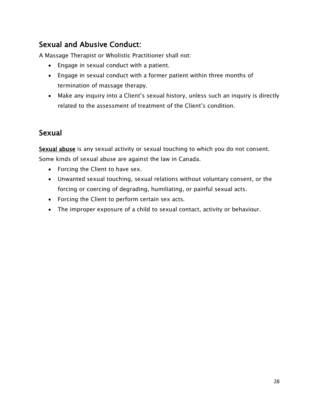# Sexual and Abusive Conduct:

A Massage Therapist or Wholistic Practitioner shall not:

- Engage in sexual conduct with a patient.
- Engage in sexual conduct with a former patient within three months of termination of massage therapy.
- Make any inquiry into a Client's sexual history, unless such an inquiry is directly related to the assessment of treatment of the Client's condition.

## Sexual

Sexual abuse is any sexual activity or sexual touching to which you do not consent. Some kinds of sexual abuse are against the law in Canada.

- Forcing the Client to have sex.
- Unwanted sexual touching, sexual relations without voluntary consent, or the forcing or coercing of degrading, humiliating, or painful sexual acts.
- Forcing the Client to perform certain sex acts.
- The improper exposure of a child to sexual contact, activity or behaviour.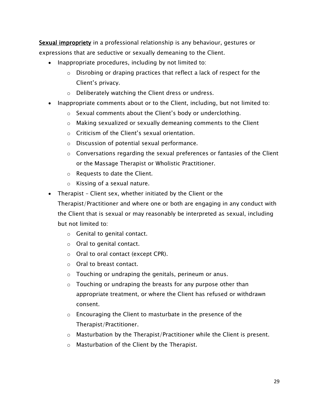Sexual impropriety in a professional relationship is any behaviour, gestures or expressions that are seductive or sexually demeaning to the Client.

- Inappropriate procedures, including by not limited to:
	- o Disrobing or draping practices that reflect a lack of respect for the Client's privacy.
	- o Deliberately watching the Client dress or undress.
- Inappropriate comments about or to the Client, including, but not limited to:
	- o Sexual comments about the Client's body or underclothing.
	- o Making sexualized or sexually demeaning comments to the Client
	- o Criticism of the Client's sexual orientation.
	- o Discussion of potential sexual performance.
	- o Conversations regarding the sexual preferences or fantasies of the Client or the Massage Therapist or Wholistic Practitioner.
	- o Requests to date the Client.
	- o Kissing of a sexual nature.
- Therapist Client sex, whether initiated by the Client or the
	- Therapist/Practitioner and where one or both are engaging in any conduct with the Client that is sexual or may reasonably be interpreted as sexual, including but not limited to:
		- o Genital to genital contact.
		- o Oral to genital contact.
		- o Oral to oral contact (except CPR).
		- o Oral to breast contact.
		- o Touching or undraping the genitals, perineum or anus.
		- $\circ$  Touching or undraping the breasts for any purpose other than appropriate treatment, or where the Client has refused or withdrawn consent.
		- o Encouraging the Client to masturbate in the presence of the Therapist/Practitioner.
		- $\circ$  Masturbation by the Therapist/Practitioner while the Client is present.
		- o Masturbation of the Client by the Therapist.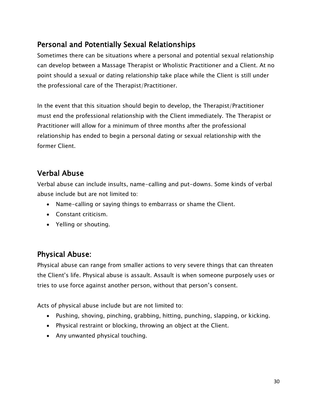## Personal and Potentially Sexual Relationships

Sometimes there can be situations where a personal and potential sexual relationship can develop between a Massage Therapist or Wholistic Practitioner and a Client. At no point should a sexual or dating relationship take place while the Client is still under the professional care of the Therapist/Practitioner.

In the event that this situation should begin to develop, the Therapist/Practitioner must end the professional relationship with the Client immediately. The Therapist or Practitioner will allow for a minimum of three months after the professional relationship has ended to begin a personal dating or sexual relationship with the former Client.

## Verbal Abuse

Verbal abuse can include insults, name-calling and put-downs. Some kinds of verbal abuse include but are not limited to:

- Name-calling or saying things to embarrass or shame the Client.
- Constant criticism.
- Yelling or shouting.

#### Physical Abuse:

Physical abuse can range from smaller actions to very severe things that can threaten the Client's life. Physical abuse is assault. Assault is when someone purposely uses or tries to use force against another person, without that person's consent.

Acts of physical abuse include but are not limited to:

- Pushing, shoving, pinching, grabbing, hitting, punching, slapping, or kicking.
- Physical restraint or blocking, throwing an object at the Client.
- Any unwanted physical touching.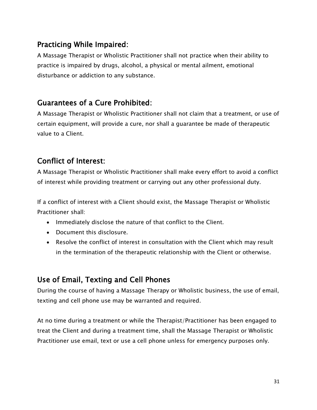#### Practicing While Impaired:

A Massage Therapist or Wholistic Practitioner shall not practice when their ability to practice is impaired by drugs, alcohol, a physical or mental ailment, emotional disturbance or addiction to any substance.

#### Guarantees of a Cure Prohibited:

A Massage Therapist or Wholistic Practitioner shall not claim that a treatment, or use of certain equipment, will provide a cure, nor shall a guarantee be made of therapeutic value to a Client.

## Conflict of Interest:

A Massage Therapist or Wholistic Practitioner shall make every effort to avoid a conflict of interest while providing treatment or carrying out any other professional duty.

If a conflict of interest with a Client should exist, the Massage Therapist or Wholistic Practitioner shall:

- Immediately disclose the nature of that conflict to the Client.
- Document this disclosure.
- Resolve the conflict of interest in consultation with the Client which may result in the termination of the therapeutic relationship with the Client or otherwise.

#### Use of Email, Texting and Cell Phones

During the course of having a Massage Therapy or Wholistic business, the use of email, texting and cell phone use may be warranted and required.

At no time during a treatment or while the Therapist/Practitioner has been engaged to treat the Client and during a treatment time, shall the Massage Therapist or Wholistic Practitioner use email, text or use a cell phone unless for emergency purposes only.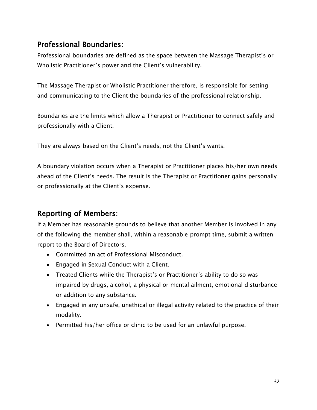#### Professional Boundaries:

Professional boundaries are defined as the space between the Massage Therapist's or Wholistic Practitioner's power and the Client's vulnerability.

The Massage Therapist or Wholistic Practitioner therefore, is responsible for setting and communicating to the Client the boundaries of the professional relationship.

Boundaries are the limits which allow a Therapist or Practitioner to connect safely and professionally with a Client.

They are always based on the Client's needs, not the Client's wants.

A boundary violation occurs when a Therapist or Practitioner places his/her own needs ahead of the Client's needs. The result is the Therapist or Practitioner gains personally or professionally at the Client's expense.

#### Reporting of Members:

If a Member has reasonable grounds to believe that another Member is involved in any of the following the member shall, within a reasonable prompt time, submit a written report to the Board of Directors.

- Committed an act of Professional Misconduct.
- Engaged in Sexual Conduct with a Client.
- Treated Clients while the Therapist's or Practitioner's ability to do so was impaired by drugs, alcohol, a physical or mental ailment, emotional disturbance or addition to any substance.
- Engaged in any unsafe, unethical or illegal activity related to the practice of their modality.
- Permitted his/her office or clinic to be used for an unlawful purpose.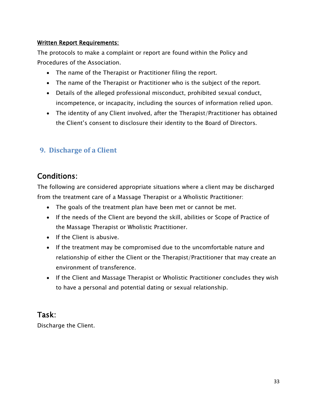#### Written Report Requirements:

The protocols to make a complaint or report are found within the Policy and Procedures of the Association.

- The name of the Therapist or Practitioner filing the report.
- The name of the Therapist or Practitioner who is the subject of the report.
- Details of the alleged professional misconduct, prohibited sexual conduct, incompetence, or incapacity, including the sources of information relied upon.
- The identity of any Client involved, after the Therapist/Practitioner has obtained the Client's consent to disclosure their identity to the Board of Directors.

#### <span id="page-33-0"></span>**9. Discharge of a Client**

#### Conditions:

The following are considered appropriate situations where a client may be discharged from the treatment care of a Massage Therapist or a Wholistic Practitioner:

- The goals of the treatment plan have been met or cannot be met.
- If the needs of the Client are beyond the skill, abilities or Scope of Practice of the Massage Therapist or Wholistic Practitioner.
- If the Client is abusive.
- If the treatment may be compromised due to the uncomfortable nature and relationship of either the Client or the Therapist/Practitioner that may create an environment of transference.
- If the Client and Massage Therapist or Wholistic Practitioner concludes they wish to have a personal and potential dating or sexual relationship.

#### Task:

Discharge the Client.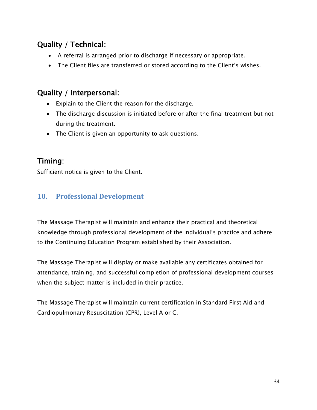## Quality / Technical:

- A referral is arranged prior to discharge if necessary or appropriate.
- The Client files are transferred or stored according to the Client's wishes.

#### Quality / Interpersonal:

- Explain to the Client the reason for the discharge.
- The discharge discussion is initiated before or after the final treatment but not during the treatment.
- The Client is given an opportunity to ask questions.

#### Timing:

Sufficient notice is given to the Client.

#### <span id="page-34-0"></span>**10. Professional Development**

The Massage Therapist will maintain and enhance their practical and theoretical knowledge through professional development of the individual's practice and adhere to the Continuing Education Program established by their Association.

The Massage Therapist will display or make available any certificates obtained for attendance, training, and successful completion of professional development courses when the subject matter is included in their practice.

The Massage Therapist will maintain current certification in Standard First Aid and Cardiopulmonary Resuscitation (CPR), Level A or C.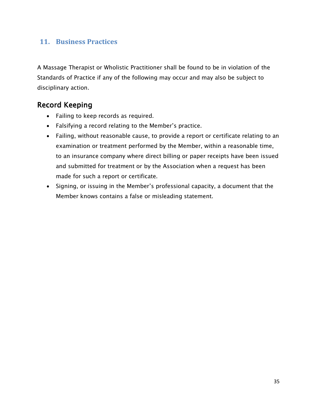#### <span id="page-35-0"></span>**11. Business Practices**

A Massage Therapist or Wholistic Practitioner shall be found to be in violation of the Standards of Practice if any of the following may occur and may also be subject to disciplinary action.

#### Record Keeping

- Failing to keep records as required.
- Falsifying a record relating to the Member's practice.
- Failing, without reasonable cause, to provide a report or certificate relating to an examination or treatment performed by the Member, within a reasonable time, to an insurance company where direct billing or paper receipts have been issued and submitted for treatment or by the Association when a request has been made for such a report or certificate.
- Signing, or issuing in the Member's professional capacity, a document that the Member knows contains a false or misleading statement.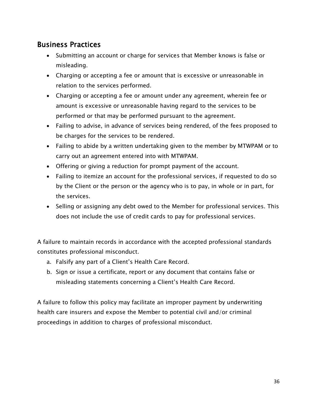#### Business Practices

- Submitting an account or charge for services that Member knows is false or misleading.
- Charging or accepting a fee or amount that is excessive or unreasonable in relation to the services performed.
- Charging or accepting a fee or amount under any agreement, wherein fee or amount is excessive or unreasonable having regard to the services to be performed or that may be performed pursuant to the agreement.
- Failing to advise, in advance of services being rendered, of the fees proposed to be charges for the services to be rendered.
- Failing to abide by a written undertaking given to the member by MTWPAM or to carry out an agreement entered into with MTWPAM.
- Offering or giving a reduction for prompt payment of the account.
- Failing to itemize an account for the professional services, if requested to do so by the Client or the person or the agency who is to pay, in whole or in part, for the services.
- Selling or assigning any debt owed to the Member for professional services. This does not include the use of credit cards to pay for professional services.

A failure to maintain records in accordance with the accepted professional standards constitutes professional misconduct.

- a. Falsify any part of a Client's Health Care Record.
- b. Sign or issue a certificate, report or any document that contains false or misleading statements concerning a Client's Health Care Record.

A failure to follow this policy may facilitate an improper payment by underwriting health care insurers and expose the Member to potential civil and/or criminal proceedings in addition to charges of professional misconduct.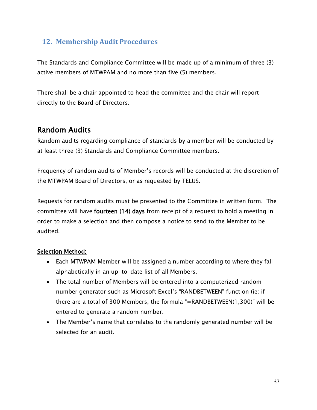#### <span id="page-37-0"></span>**12. Membership Audit Procedures**

The Standards and Compliance Committee will be made up of a minimum of three (3) active members of MTWPAM and no more than five (5) members.

There shall be a chair appointed to head the committee and the chair will report directly to the Board of Directors.

#### Random Audits

Random audits regarding compliance of standards by a member will be conducted by at least three (3) Standards and Compliance Committee members.

Frequency of random audits of Member's records will be conducted at the discretion of the MTWPAM Board of Directors, or as requested by TELUS.

Requests for random audits must be presented to the Committee in written form. The committee will have fourteen (14) days from receipt of a request to hold a meeting in order to make a selection and then compose a notice to send to the Member to be audited.

#### Selection Method:

- Each MTWPAM Member will be assigned a number according to where they fall alphabetically in an up-to-date list of all Members.
- The total number of Members will be entered into a computerized random number generator such as Microsoft Excel's "RANDBETWEEN" function (ie: if there are a total of 300 Members, the formula "=RANDBETWEEN(1,300)" will be entered to generate a random number.
- The Member's name that correlates to the randomly generated number will be selected for an audit.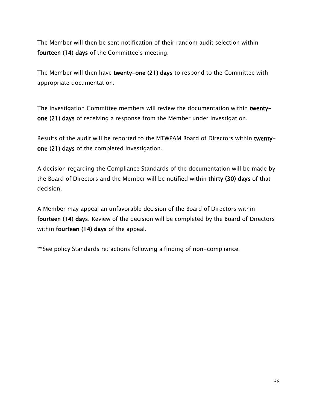The Member will then be sent notification of their random audit selection within fourteen (14) days of the Committee's meeting.

The Member will then have twenty-one (21) days to respond to the Committee with appropriate documentation.

The investigation Committee members will review the documentation within twentyone (21) days of receiving a response from the Member under investigation.

Results of the audit will be reported to the MTWPAM Board of Directors within twentyone (21) days of the completed investigation.

A decision regarding the Compliance Standards of the documentation will be made by the Board of Directors and the Member will be notified within thirty (30) days of that decision.

A Member may appeal an unfavorable decision of the Board of Directors within fourteen (14) days. Review of the decision will be completed by the Board of Directors within fourteen (14) days of the appeal.

\*\*See policy Standards re: actions following a finding of non-compliance.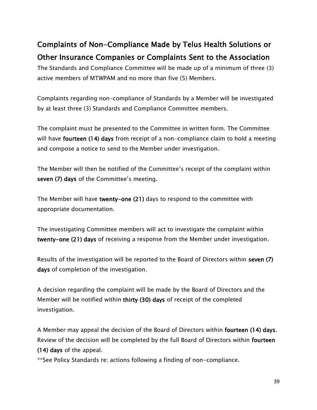# Complaints of Non-Compliance Made by Telus Health Solutions or Other Insurance Companies or Complaints Sent to the Association

The Standards and Compliance Committee will be made up of a minimum of three (3) active members of MTWPAM and no more than five (5) Members.

Complaints regarding non-compliance of Standards by a Member will be investigated by at least three (3) Standards and Compliance Committee members.

The complaint must be presented to the Committee in written form. The Committee will have **fourteen** (14) days from receipt of a non-compliance claim to hold a meeting and compose a notice to send to the Member under investigation.

The Member will then be notified of the Committee's receipt of the complaint within seven (7) days of the Committee's meeting.

The Member will have twenty-one (21) days to respond to the committee with appropriate documentation.

The investigating Committee members will act to investigate the complaint within twenty-one (21) days of receiving a response from the Member under investigation.

Results of the investigation will be reported to the Board of Directors within seven (7) days of completion of the investigation.

A decision regarding the complaint will be made by the Board of Directors and the Member will be notified within thirty (30) days of receipt of the completed investigation.

A Member may appeal the decision of the Board of Directors within fourteen (14) days. Review of the decision will be completed by the full Board of Directors within fourteen (14) days of the appeal.

\*\*See Policy Standards re: actions following a finding of non-compliance.